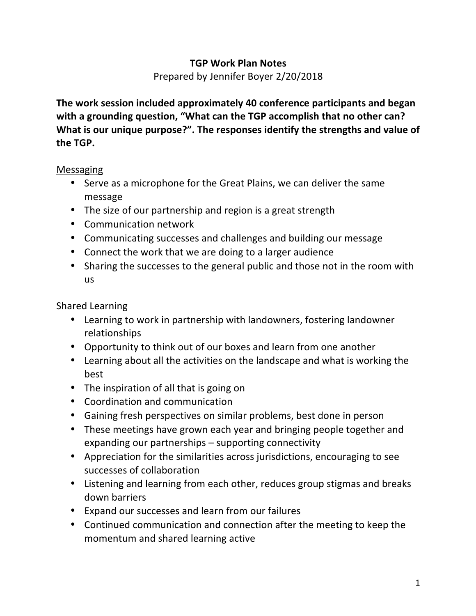## **TGP Work Plan Notes**

Prepared by Jennifer Boyer 2/20/2018

The work session included approximately 40 conference participants and began with a grounding question, "What can the TGP accomplish that no other can? What is our unique purpose?". The responses identify the strengths and value of **the TGP.**

### **Messaging**

- Serve as a microphone for the Great Plains, we can deliver the same message
- The size of our partnership and region is a great strength
- Communication network
- Communicating successes and challenges and building our message
- Connect the work that we are doing to a larger audience
- Sharing the successes to the general public and those not in the room with us

# Shared Learning

- Learning to work in partnership with landowners, fostering landowner relationships
- Opportunity to think out of our boxes and learn from one another
- Learning about all the activities on the landscape and what is working the best
- The inspiration of all that is going on
- Coordination and communication
- Gaining fresh perspectives on similar problems, best done in person
- These meetings have grown each year and bringing people together and expanding our partnerships  $-$  supporting connectivity
- Appreciation for the similarities across jurisdictions, encouraging to see successes of collaboration
- Listening and learning from each other, reduces group stigmas and breaks down barriers
- Expand our successes and learn from our failures
- Continued communication and connection after the meeting to keep the momentum and shared learning active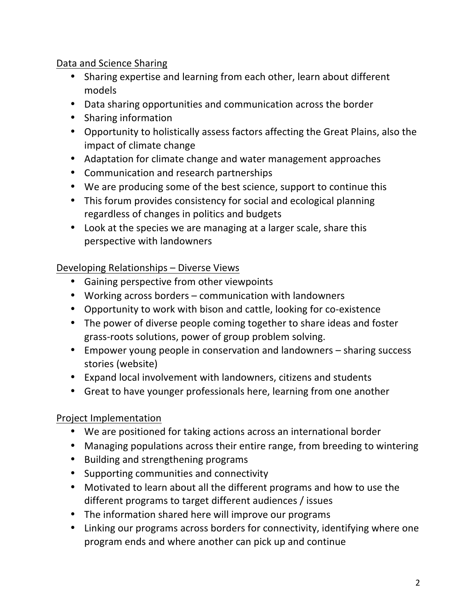## Data and Science Sharing

- Sharing expertise and learning from each other, learn about different models
- Data sharing opportunities and communication across the border
- Sharing information
- Opportunity to holistically assess factors affecting the Great Plains, also the impact of climate change
- Adaptation for climate change and water management approaches
- Communication and research partnerships
- We are producing some of the best science, support to continue this
- This forum provides consistency for social and ecological planning regardless of changes in politics and budgets
- Look at the species we are managing at a larger scale, share this perspective with landowners

## Developing Relationships - Diverse Views

- Gaining perspective from other viewpoints
- Working across borders communication with landowners
- Opportunity to work with bison and cattle, looking for co-existence
- The power of diverse people coming together to share ideas and foster grass-roots solutions, power of group problem solving.
- Empower young people in conservation and landowners  $-$  sharing success stories (website)
- Expand local involvement with landowners, citizens and students
- Great to have younger professionals here, learning from one another

## **Project Implementation**

- We are positioned for taking actions across an international border
- Managing populations across their entire range, from breeding to wintering
- Building and strengthening programs
- Supporting communities and connectivity
- Motivated to learn about all the different programs and how to use the different programs to target different audiences / issues
- The information shared here will improve our programs
- Linking our programs across borders for connectivity, identifying where one program ends and where another can pick up and continue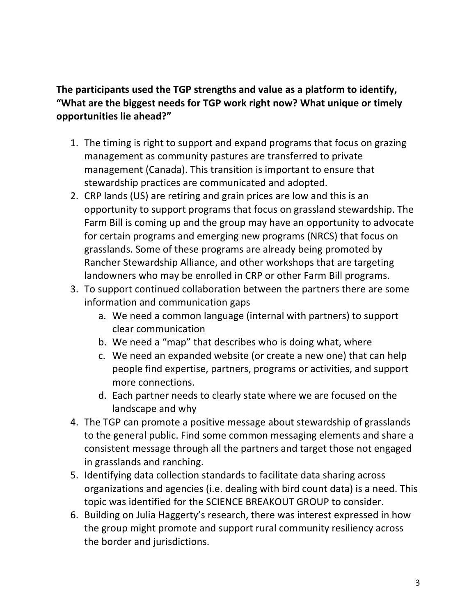# The participants used the TGP strengths and value as a platform to identify, "What are the biggest needs for TGP work right now? What unique or timely **opportunities lie ahead?"**

- 1. The timing is right to support and expand programs that focus on grazing management as community pastures are transferred to private management (Canada). This transition is important to ensure that stewardship practices are communicated and adopted.
- 2. CRP lands (US) are retiring and grain prices are low and this is an opportunity to support programs that focus on grassland stewardship. The Farm Bill is coming up and the group may have an opportunity to advocate for certain programs and emerging new programs (NRCS) that focus on grasslands. Some of these programs are already being promoted by Rancher Stewardship Alliance, and other workshops that are targeting landowners who may be enrolled in CRP or other Farm Bill programs.
- 3. To support continued collaboration between the partners there are some information and communication gaps
	- a. We need a common language (internal with partners) to support clear communication
	- b. We need a "map" that describes who is doing what, where
	- c. We need an expanded website (or create a new one) that can help people find expertise, partners, programs or activities, and support more connections.
	- d. Each partner needs to clearly state where we are focused on the landscape and why
- 4. The TGP can promote a positive message about stewardship of grasslands to the general public. Find some common messaging elements and share a consistent message through all the partners and target those not engaged in grasslands and ranching.
- 5. Identifying data collection standards to facilitate data sharing across organizations and agencies (i.e. dealing with bird count data) is a need. This topic was identified for the SCIENCE BREAKOUT GROUP to consider.
- 6. Building on Julia Haggerty's research, there was interest expressed in how the group might promote and support rural community resiliency across the border and jurisdictions.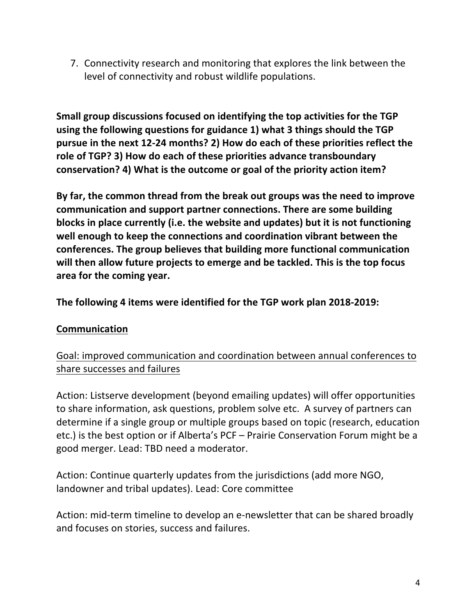7. Connectivity research and monitoring that explores the link between the level of connectivity and robust wildlife populations.

**Small group discussions focused on identifying the top activities for the TGP using the following questions for guidance 1) what 3 things should the TGP pursue in the next 12-24 months? 2) How do each of these priorities reflect the** role of TGP? 3) How do each of these priorities advance transboundary conservation? 4) What is the outcome or goal of the priority action item?

By far, the common thread from the break out groups was the need to improve **communication and support partner connections. There are some building blocks in place currently (i.e. the website and updates) but it is not functioning** well enough to keep the connections and coordination vibrant between the conferences. The group believes that building more functional communication will then allow future projects to emerge and be tackled. This is the top focus area for the coming year.

The following 4 items were identified for the TGP work plan 2018-2019:

## **Communication**

Goal: improved communication and coordination between annual conferences to share successes and failures

Action: Listserve development (beyond emailing updates) will offer opportunities to share information, ask questions, problem solve etc. A survey of partners can determine if a single group or multiple groups based on topic (research, education etc.) is the best option or if Alberta's PCF – Prairie Conservation Forum might be a good merger. Lead: TBD need a moderator.

Action: Continue quarterly updates from the jurisdictions (add more NGO, landowner and tribal updates). Lead: Core committee

Action: mid-term timeline to develop an e-newsletter that can be shared broadly and focuses on stories, success and failures.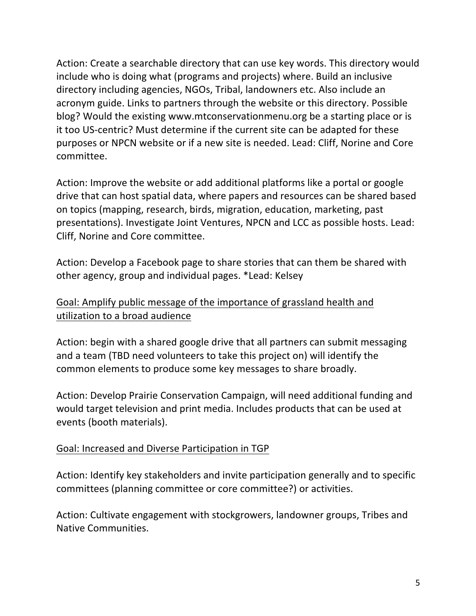Action: Create a searchable directory that can use key words. This directory would include who is doing what (programs and projects) where. Build an inclusive directory including agencies, NGOs, Tribal, landowners etc. Also include an acronym guide. Links to partners through the website or this directory. Possible blog? Would the existing www.mtconservationmenu.org be a starting place or is it too US-centric? Must determine if the current site can be adapted for these purposes or NPCN website or if a new site is needed. Lead: Cliff, Norine and Core committee.

Action: Improve the website or add additional platforms like a portal or google drive that can host spatial data, where papers and resources can be shared based on topics (mapping, research, birds, migration, education, marketing, past presentations). Investigate Joint Ventures, NPCN and LCC as possible hosts. Lead: Cliff, Norine and Core committee.

Action: Develop a Facebook page to share stories that can them be shared with other agency, group and individual pages. \*Lead: Kelsey

## Goal: Amplify public message of the importance of grassland health and utilization to a broad audience

Action: begin with a shared google drive that all partners can submit messaging and a team (TBD need volunteers to take this project on) will identify the common elements to produce some key messages to share broadly.

Action: Develop Prairie Conservation Campaign, will need additional funding and would target television and print media. Includes products that can be used at events (booth materials).

### Goal: Increased and Diverse Participation in TGP

Action: Identify key stakeholders and invite participation generally and to specific committees (planning committee or core committee?) or activities.

Action: Cultivate engagement with stockgrowers, landowner groups, Tribes and Native Communities.